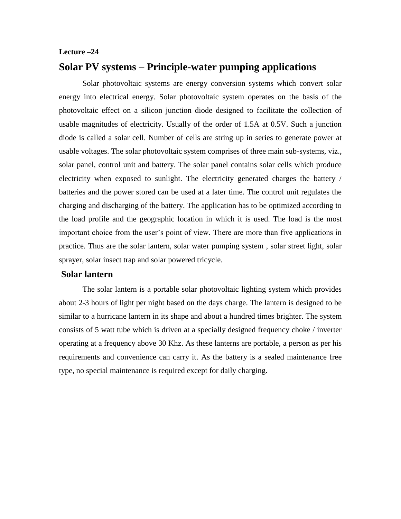#### **Lecture –24**

# **Solar PV systems – Principle-water pumping applications**

Solar photovoltaic systems are energy conversion systems which convert solar energy into electrical energy. Solar photovoltaic system operates on the basis of the photovoltaic effect on a silicon junction diode designed to facilitate the collection of usable magnitudes of electricity. Usually of the order of 1.5A at 0.5V. Such a junction diode is called a solar cell. Number of cells are string up in series to generate power at usable voltages. The solar photovoltaic system comprises of three main sub-systems, viz., solar panel, control unit and battery. The solar panel contains solar cells which produce electricity when exposed to sunlight. The electricity generated charges the battery / batteries and the power stored can be used at a later time. The control unit regulates the charging and discharging of the battery. The application has to be optimized according to the load profile and the geographic location in which it is used. The load is the most important choice from the user's point of view. There are more than five applications in practice. Thus are the solar lantern, solar water pumping system , solar street light, solar sprayer, solar insect trap and solar powered tricycle.

## **Solar lantern**

The solar lantern is a portable solar photovoltaic lighting system which provides about 2-3 hours of light per night based on the days charge. The lantern is designed to be similar to a hurricane lantern in its shape and about a hundred times brighter. The system consists of 5 watt tube which is driven at a specially designed frequency choke / inverter operating at a frequency above 30 Khz. As these lanterns are portable, a person as per his requirements and convenience can carry it. As the battery is a sealed maintenance free type, no special maintenance is required except for daily charging.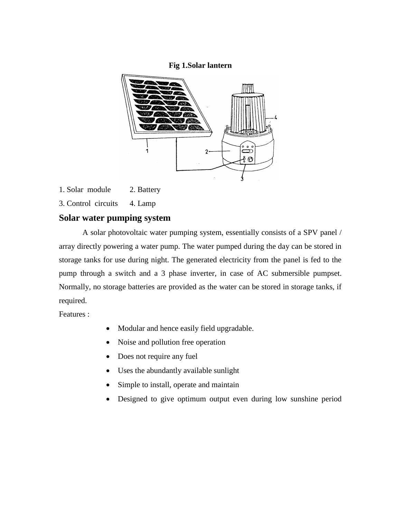### **Fig 1.Solar lantern**



1. Solar module 2. Battery

3. Control circuits 4. Lamp

## **Solar water pumping system**

A solar photovoltaic water pumping system, essentially consists of a SPV panel / array directly powering a water pump. The water pumped during the day can be stored in storage tanks for use during night. The generated electricity from the panel is fed to the pump through a switch and a 3 phase inverter, in case of AC submersible pumpset. Normally, no storage batteries are provided as the water can be stored in storage tanks, if required.

Features :

- Modular and hence easily field upgradable.
- Noise and pollution free operation
- Does not require any fuel
- Uses the abundantly available sunlight
- Simple to install, operate and maintain
- Designed to give optimum output even during low sunshine period